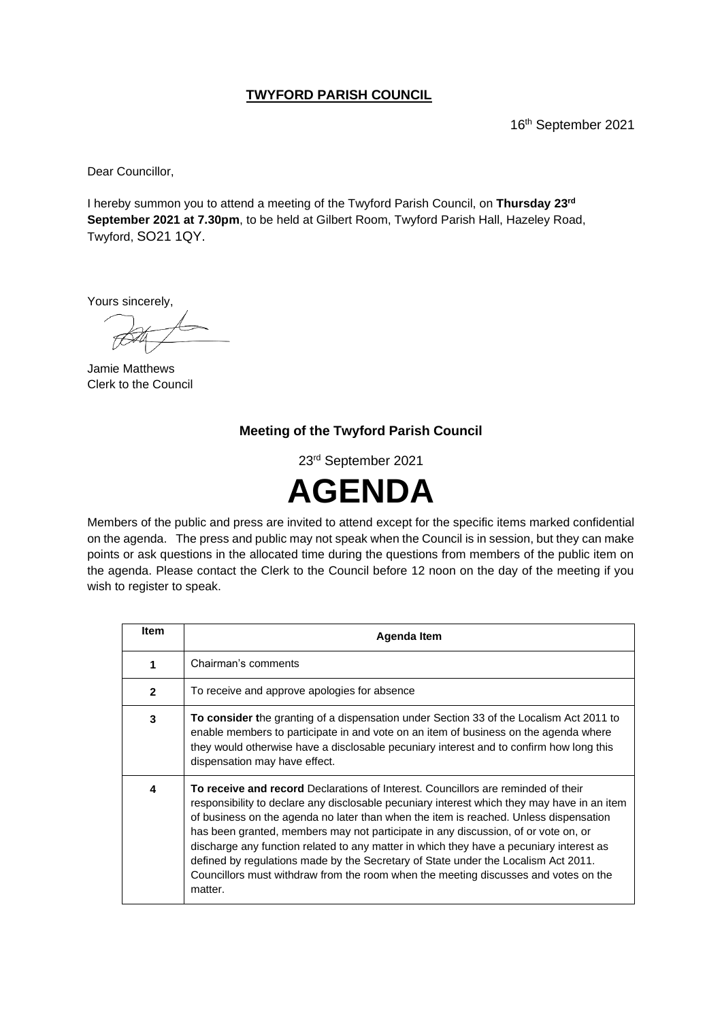## **TWYFORD PARISH COUNCIL**

16 th September 2021

Dear Councillor,

I hereby summon you to attend a meeting of the Twyford Parish Council, on **Thursday 23 rd September 2021 at 7.30pm**, to be held at Gilbert Room, Twyford Parish Hall, Hazeley Road, Twyford, SO21 1QY.

Yours sincerely,

Jamie Matthews Clerk to the Council

## **Meeting of the Twyford Parish Council**

23rd September 2021



Members of the public and press are invited to attend except for the specific items marked confidential on the agenda. The press and public may not speak when the Council is in session, but they can make points or ask questions in the allocated time during the questions from members of the public item on the agenda. Please contact the Clerk to the Council before 12 noon on the day of the meeting if you wish to register to speak.

| <b>Item</b>    | Agenda Item                                                                                                                                                                                                                                                                                                                                                                                                                                                                                                                                                                                                                                        |
|----------------|----------------------------------------------------------------------------------------------------------------------------------------------------------------------------------------------------------------------------------------------------------------------------------------------------------------------------------------------------------------------------------------------------------------------------------------------------------------------------------------------------------------------------------------------------------------------------------------------------------------------------------------------------|
| 1              | Chairman's comments                                                                                                                                                                                                                                                                                                                                                                                                                                                                                                                                                                                                                                |
| $\overline{2}$ | To receive and approve apologies for absence                                                                                                                                                                                                                                                                                                                                                                                                                                                                                                                                                                                                       |
| 3              | <b>To consider the granting of a dispensation under Section 33 of the Localism Act 2011 to</b><br>enable members to participate in and vote on an item of business on the agenda where<br>they would otherwise have a disclosable pecuniary interest and to confirm how long this<br>dispensation may have effect.                                                                                                                                                                                                                                                                                                                                 |
| 4              | To receive and record Declarations of Interest. Councillors are reminded of their<br>responsibility to declare any disclosable pecuniary interest which they may have in an item<br>of business on the agenda no later than when the item is reached. Unless dispensation<br>has been granted, members may not participate in any discussion, of or vote on, or<br>discharge any function related to any matter in which they have a pecuniary interest as<br>defined by regulations made by the Secretary of State under the Localism Act 2011.<br>Councillors must withdraw from the room when the meeting discusses and votes on the<br>matter. |